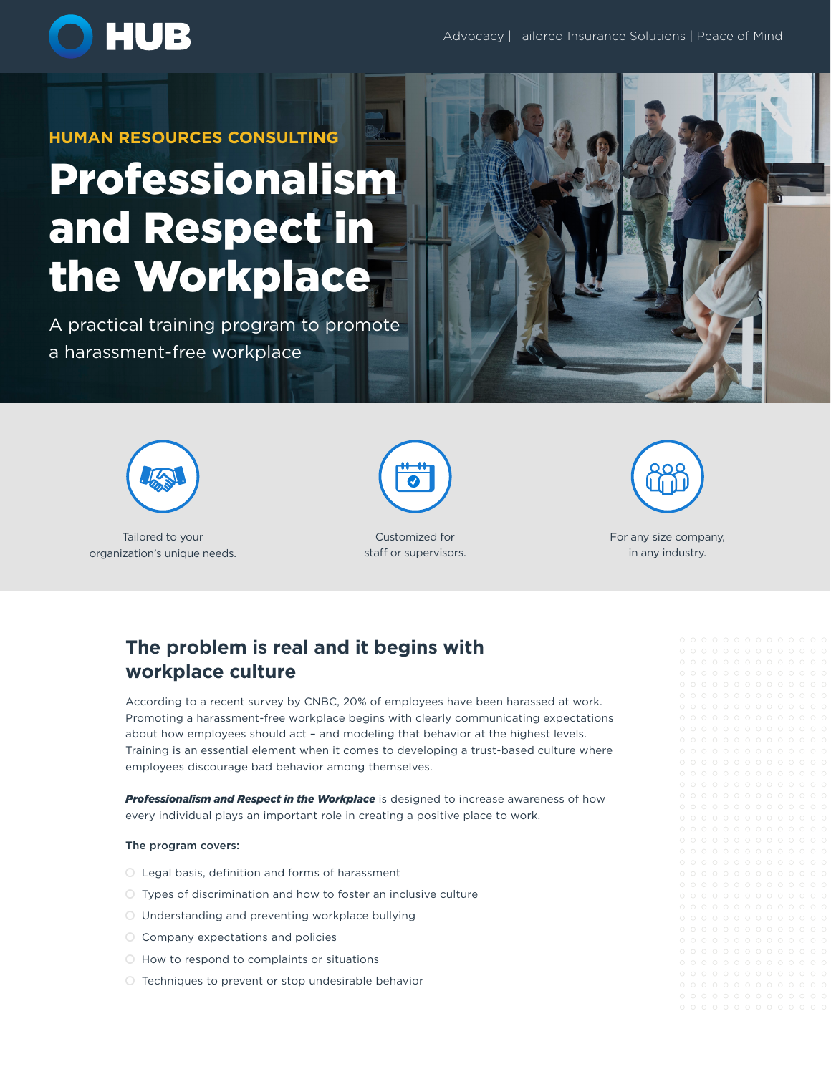

# **HUMAN RESOURCES CONSULTING** Professionalism and Respect in the Workplace

A practical training program to promote a harassment-free workplace





Tailored to your organization's unique needs.



Customized for staff or supervisors.



For any size company, in any industry.

### **The problem is real and it begins with workplace culture**

According to a recent survey by CNBC, 20% of employees have been harassed at work. Promoting a harassment-free workplace begins with clearly communicating expectations about how employees should act – and modeling that behavior at the highest levels. Training is an essential element when it comes to developing a trust-based culture where employees discourage bad behavior among themselves.

**Professionalism and Respect in the Workplace** is designed to increase awareness of how every individual plays an important role in creating a positive place to work.

#### The program covers:

- $O$  Legal basis, definition and forms of harassment
- $\bigcirc$  Types of discrimination and how to foster an inclusive culture
- O Understanding and preventing workplace bullying
- $\circ$  Company expectations and policies
- $\bigcirc$  How to respond to complaints or situations
- $\bigcirc$  Techniques to prevent or stop undesirable behavior